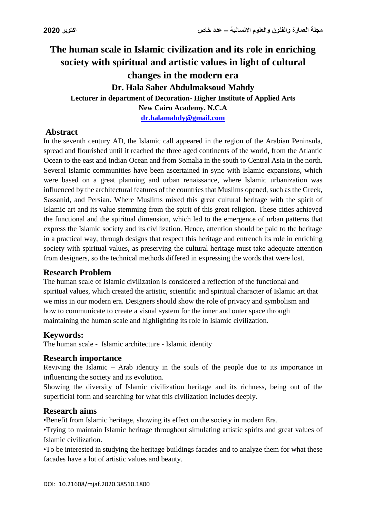# **The human scale in Islamic civilization and its role in enriching society with spiritual and artistic values in light of cultural changes in the modern era Dr. Hala Saber Abdulmaksoud Mahdy Lecturer in department of Decoration- Higher Institute of Applied Arts New Cairo Academy. N.C.A [dr.halamahdy@gmail.com](mailto:dr.halamahdy@gmail.com)**

### **Abstract**

In the seventh century AD, the Islamic call appeared in the region of the Arabian Peninsula, spread and flourished until it reached the three aged continents of the world, from the Atlantic Ocean to the east and Indian Ocean and from Somalia in the south to Central Asia in the north. Several Islamic communities have been ascertained in sync with Islamic expansions, which were based on a great planning and urban renaissance, where Islamic urbanization was influenced by the architectural features of the countries that Muslims opened, such as the Greek, Sassanid, and Persian. Where Muslims mixed this great cultural heritage with the spirit of Islamic art and its value stemming from the spirit of this great religion. These cities achieved the functional and the spiritual dimension, which led to the emergence of urban patterns that express the Islamic society and its civilization. Hence, attention should be paid to the heritage in a practical way, through designs that respect this heritage and entrench its role in enriching society with spiritual values, as preserving the cultural heritage must take adequate attention from designers, so the technical methods differed in expressing the words that were lost.

### **Research Problem**

The human scale of Islamic civilization is considered a reflection of the functional and spiritual values, which created the artistic, scientific and spiritual character of Islamic art that we miss in our modern era. Designers should show the role of privacy and symbolism and how to communicate to create a visual system for the inner and outer space through maintaining the human scale and highlighting its role in Islamic civilization.

### **Keywords:**

The human scale - Islamic architecture - Islamic identity

#### **Research importance**

Reviving the Islamic – Arab identity in the souls of the people due to its importance in influencing the society and its evolution.

Showing the diversity of Islamic civilization heritage and its richness, being out of the superficial form and searching for what this civilization includes deeply.

#### **Research aims**

•Benefit from Islamic heritage, showing its effect on the society in modern Era.

•Trying to maintain Islamic heritage throughout simulating artistic spirits and great values of Islamic civilization.

•To be interested in studying the heritage buildings facades and to analyze them for what these facades have a lot of artistic values and beauty.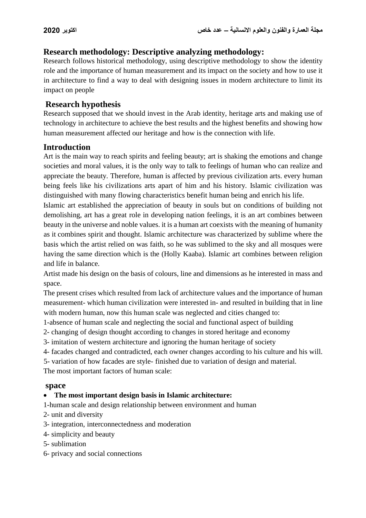### **Research methodology: Descriptive analyzing methodology:**

Research follows historical methodology, using descriptive methodology to show the identity role and the importance of human measurement and its impact on the society and how to use it in architecture to find a way to deal with designing issues in modern architecture to limit its impact on people

### **Research hypothesis**

Research supposed that we should invest in the Arab identity, heritage arts and making use of technology in architecture to achieve the best results and the highest benefits and showing how human measurement affected our heritage and how is the connection with life.

### **Introduction**

Art is the main way to reach spirits and feeling beauty; art is shaking the emotions and change societies and moral values, it is the only way to talk to feelings of human who can realize and appreciate the beauty. Therefore, human is affected by previous civilization arts. every human being feels like his civilizations arts apart of him and his history. Islamic civilization was distinguished with many flowing characteristics benefit human being and enrich his life.

Islamic art established the appreciation of beauty in souls but on conditions of building not demolishing, art has a great role in developing nation feelings, it is an art combines between beauty in the universe and noble values. it is a human art coexists with the meaning of humanity as it combines spirit and thought. Islamic architecture was characterized by sublime where the basis which the artist relied on was faith, so he was sublimed to the sky and all mosques were having the same direction which is the (Holly Kaaba). Islamic art combines between religion and life in balance.

Artist made his design on the basis of colours, line and dimensions as he interested in mass and space.

The present crises which resulted from lack of architecture values and the importance of human measurement- which human civilization were interested in- and resulted in building that in line with modern human, now this human scale was neglected and cities changed to:

1-absence of human scale and neglecting the social and functional aspect of building

2- changing of design thought according to changes in stored heritage and economy

3- imitation of western architecture and ignoring the human heritage of society

4- facades changed and contradicted, each owner changes according to his culture and his will.

5- variation of how facades are style- finished due to variation of design and material.

The most important factors of human scale:

#### **space**

### **The most important design basis in Islamic architecture:**

1-human scale and design relationship between environment and human

2- unit and diversity

3- integration, interconnectedness and moderation

- 4- simplicity and beauty
- 5- sublimation
- 6- privacy and social connections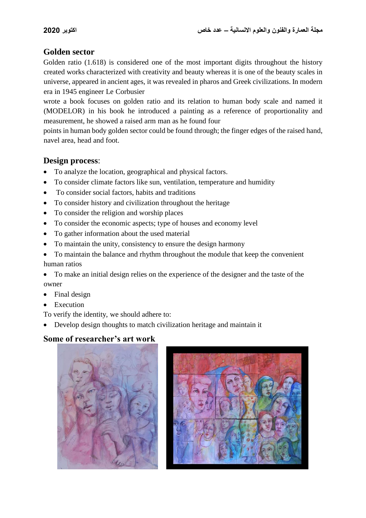### **Golden sector**

Golden ratio (1.618) is considered one of the most important digits throughout the history created works characterized with creativity and beauty whereas it is one of the beauty scales in universe, appeared in ancient ages, it was revealed in pharos and Greek civilizations. In modern era in 1945 engineer Le Corbusier

wrote a book focuses on golden ratio and its relation to human body scale and named it (MODELOR) in his book he introduced a painting as a reference of proportionality and measurement, he showed a raised arm man as he found four

points in human body golden sector could be found through; the finger edges of the raised hand, navel area, head and foot.

### **Design process**:

- To analyze the location, geographical and physical factors.
- To consider climate factors like sun, ventilation, temperature and humidity
- To consider social factors, habits and traditions
- To consider history and civilization throughout the heritage
- To consider the religion and worship places
- To consider the economic aspects; type of houses and economy level
- To gather information about the used material
- To maintain the unity, consistency to ensure the design harmony
- To maintain the balance and rhythm throughout the module that keep the convenient human ratios
- To make an initial design relies on the experience of the designer and the taste of the owner
- Final design
- Execution

To verify the identity, we should adhere to:

Develop design thoughts to match civilization heritage and maintain it

## **Some of researcher's art work**



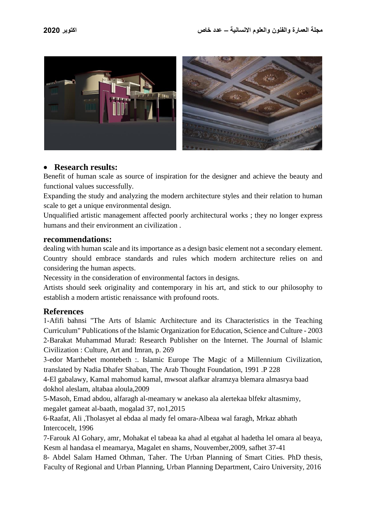

#### **Research results:**

Benefit of human scale as source of inspiration for the designer and achieve the beauty and functional values successfully.

Expanding the study and analyzing the modern architecture styles and their relation to human scale to get a unique environmental design.

Unqualified artistic management affected poorly architectural works ; they no longer express humans and their environment an civilization .

#### **recommendations:**

dealing with human scale and its importance as a design basic element not a secondary element. Country should embrace standards and rules which modern architecture relies on and considering the human aspects.

Necessity in the consideration of environmental factors in designs.

Artists should seek originality and contemporary in his art, and stick to our philosophy to establish a modern artistic renaissance with profound roots.

#### **References**

1-Afifi bahnsi "The Arts of Islamic Architecture and its Characteristics in the Teaching Curriculum" Publications of the Islamic Organization for Education, Science and Culture - 2003 2-Barakat Muhammad Murad: Research Publisher on the Internet. The Journal of Islamic Civilization : Culture, Art and Imran, p. 269

3-edor Marthebet montebeth :. Islamic Europe The Magic of a Millennium Civilization, translated by Nadia Dhafer Shaban, The Arab Thought Foundation, 1991 .P 228

4-El gabalawy, Kamal mahomud kamal, mwsoat alafkar alramzya blemara almasrya baad dokhol aleslam, altabaa aloula,2009

5-Masoh, Emad abdou, alfaragh al-meamary w anekaso ala alertekaa blfekr altasmimy, megalet gameat al-baath, mogalad 37, no1,2015

6-Raafat, Ali ,Tholasyet al ebdaa al mady fel omara-Albeaa wal faragh, Mrkaz abhath Intercocelt, 1996

7-Farouk Al Gohary, amr, Mohakat el tabeaa ka ahad al etgahat al hadetha lel omara al beaya, Kesm al handasa el meamarya, Magalet en shams, Nouvember,2009, safhet 37-41

8- Abdel Salam Hamed Othman, Taher. The Urban Planning of Smart Cities. PhD thesis, Faculty of Regional and Urban Planning, Urban Planning Department, Cairo University, 2016